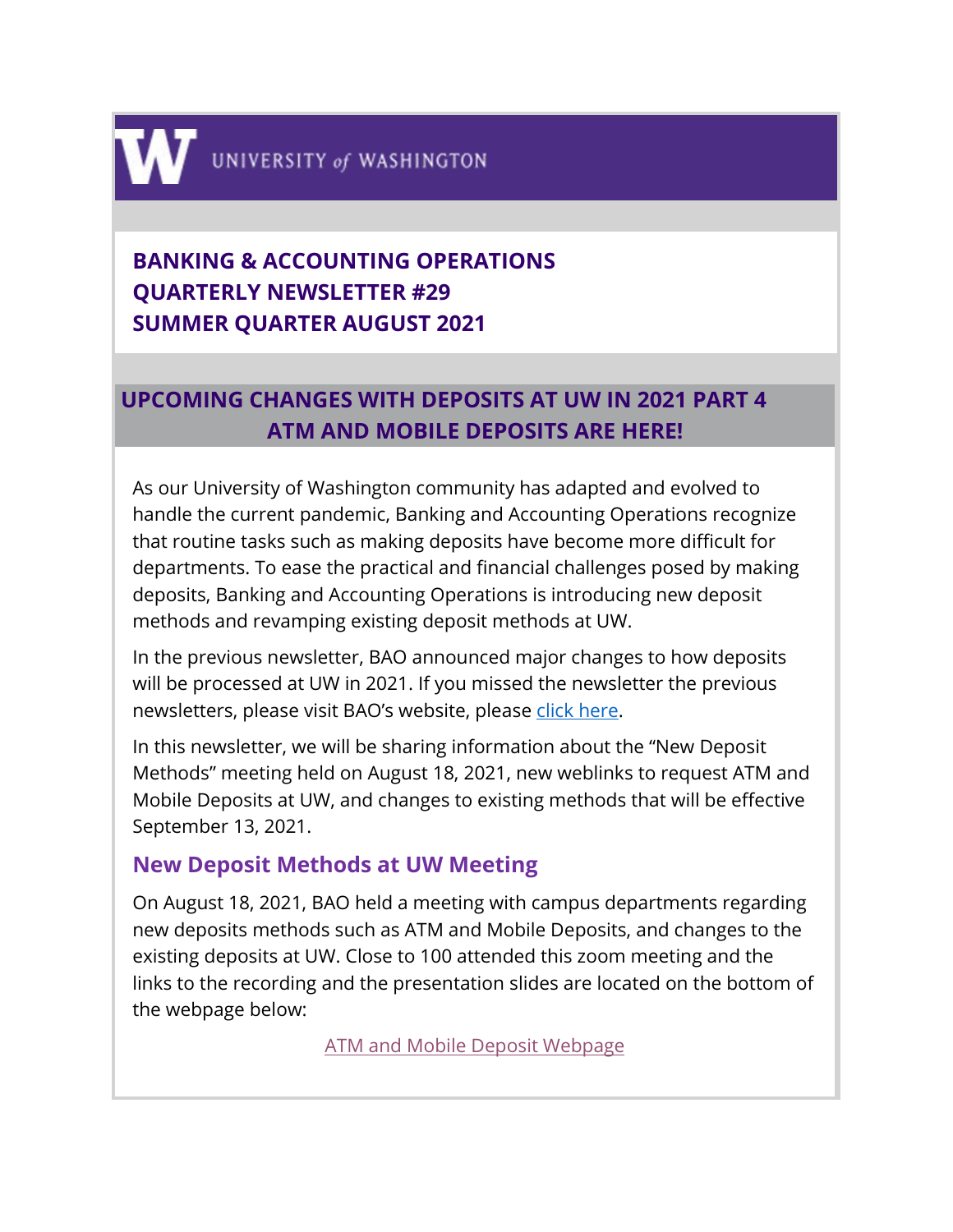

# **BANKING & ACCOUNTING OPERATIONS QUARTERLY NEWSLETTER #29 SUMMER QUARTER AUGUST 2021**

# **UPCOMING CHANGES WITH DEPOSITS AT UW IN 2021 PART 4 ATM AND MOBILE DEPOSITS ARE HERE!**

As our University of Washington community has adapted and evolved to handle the current pandemic, Banking and Accounting Operations recognize that routine tasks such as making deposits have become more difficult for departments. To ease the practical and financial challenges posed by making deposits, Banking and Accounting Operations is introducing new deposit methods and revamping existing deposit methods at UW.

In the previous newsletter, BAO announced major changes to how deposits will be processed at UW in 2021. If you missed the newsletter the previous newsletters, please visit BAO's website, please [click here.](https://finance.uw.edu/bao/resources/bao-newsletter)

In this newsletter, we will be sharing information about the "New Deposit Methods" meeting held on August 18, 2021, new weblinks to request ATM and Mobile Deposits at UW, and changes to existing methods that will be effective September 13, 2021.

## **New Deposit Methods at UW Meeting**

On August 18, 2021, BAO held a meeting with campus departments regarding new deposits methods such as ATM and Mobile Deposits, and changes to the existing deposits at UW. Close to 100 attended this zoom meeting and the links to the recording and the presentation slides are located on the bottom of the webpage below:

[ATM and Mobile Deposit Webpage](https://finance.uw.edu/bao/cash-receivables/cashcheck-deposits/atm-and-mobile-deposit)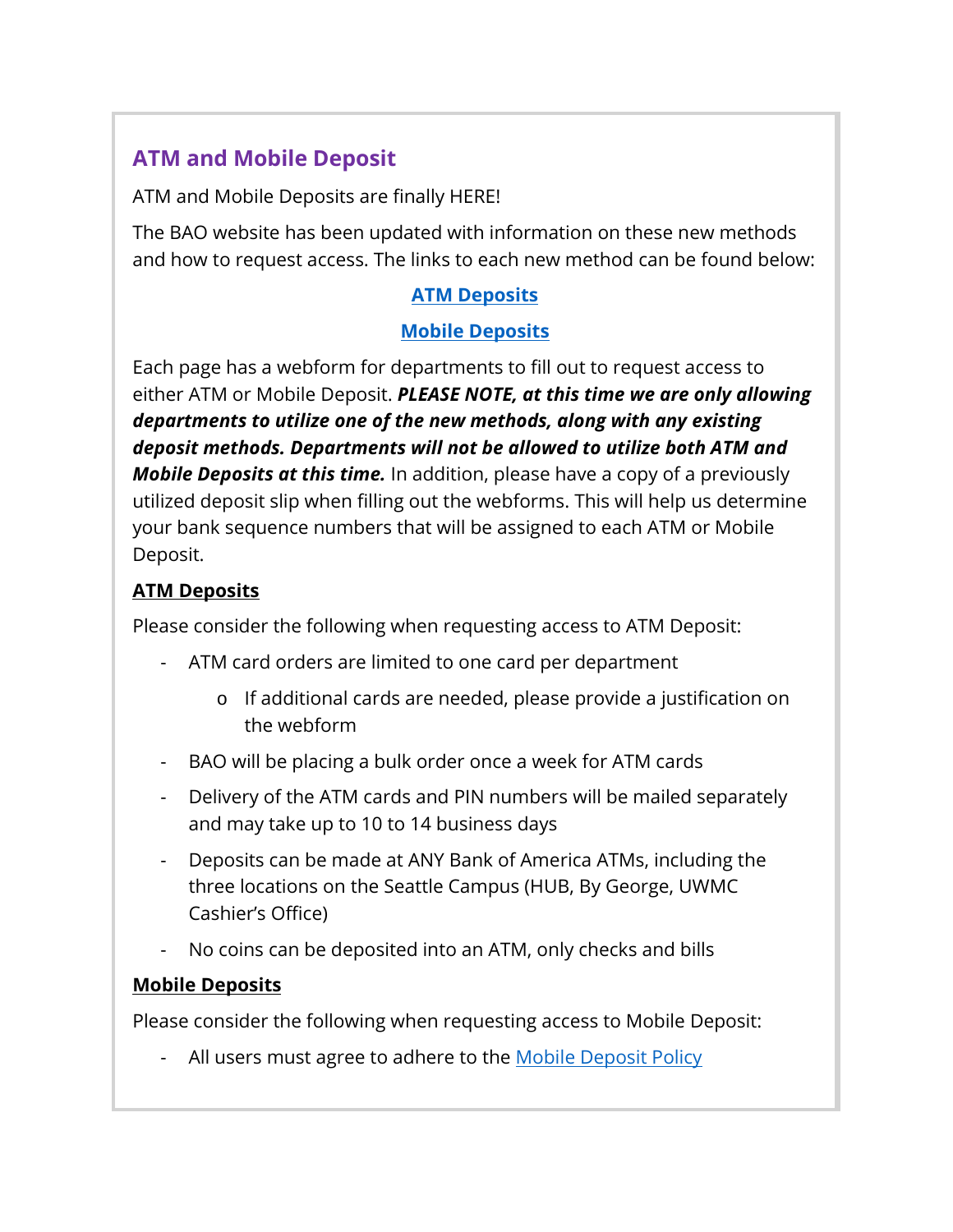## **ATM and Mobile Deposit**

ATM and Mobile Deposits are finally HERE!

The BAO website has been updated with information on these new methods and how to request access. The links to each new method can be found below:

## **[ATM Deposits](https://finance.uw.edu/bao/cash-receivables/cashcheck-deposits/atm-and-mobile-deposit/atm-deposits)**

### **[Mobile Deposits](https://finance.uw.edu/bao/cash-receivables/cashcheck-deposits/atm-and-mobile-deposit/mobile-deposits)**

Each page has a webform for departments to fill out to request access to either ATM or Mobile Deposit. *PLEASE NOTE, at this time we are only allowing departments to utilize one of the new methods, along with any existing deposit methods. Departments will not be allowed to utilize both ATM and Mobile Deposits at this time.* In addition, please have a copy of a previously utilized deposit slip when filling out the webforms. This will help us determine your bank sequence numbers that will be assigned to each ATM or Mobile Deposit.

### **ATM Deposits**

Please consider the following when requesting access to ATM Deposit:

- ATM card orders are limited to one card per department
	- o If additional cards are needed, please provide a justification on the webform
- BAO will be placing a bulk order once a week for ATM cards
- Delivery of the ATM cards and PIN numbers will be mailed separately and may take up to 10 to 14 business days
- Deposits can be made at ANY Bank of America ATMs, including the three locations on the Seattle Campus (HUB, By George, UWMC Cashier's Office)
- No coins can be deposited into an ATM, only checks and bills

## **Mobile Deposits**

Please consider the following when requesting access to Mobile Deposit:

- All users must agree to adhere to the [Mobile Deposit Policy](https://finance.uw.edu/bao/resources/BAOpolicies/mobile-deposit-policy)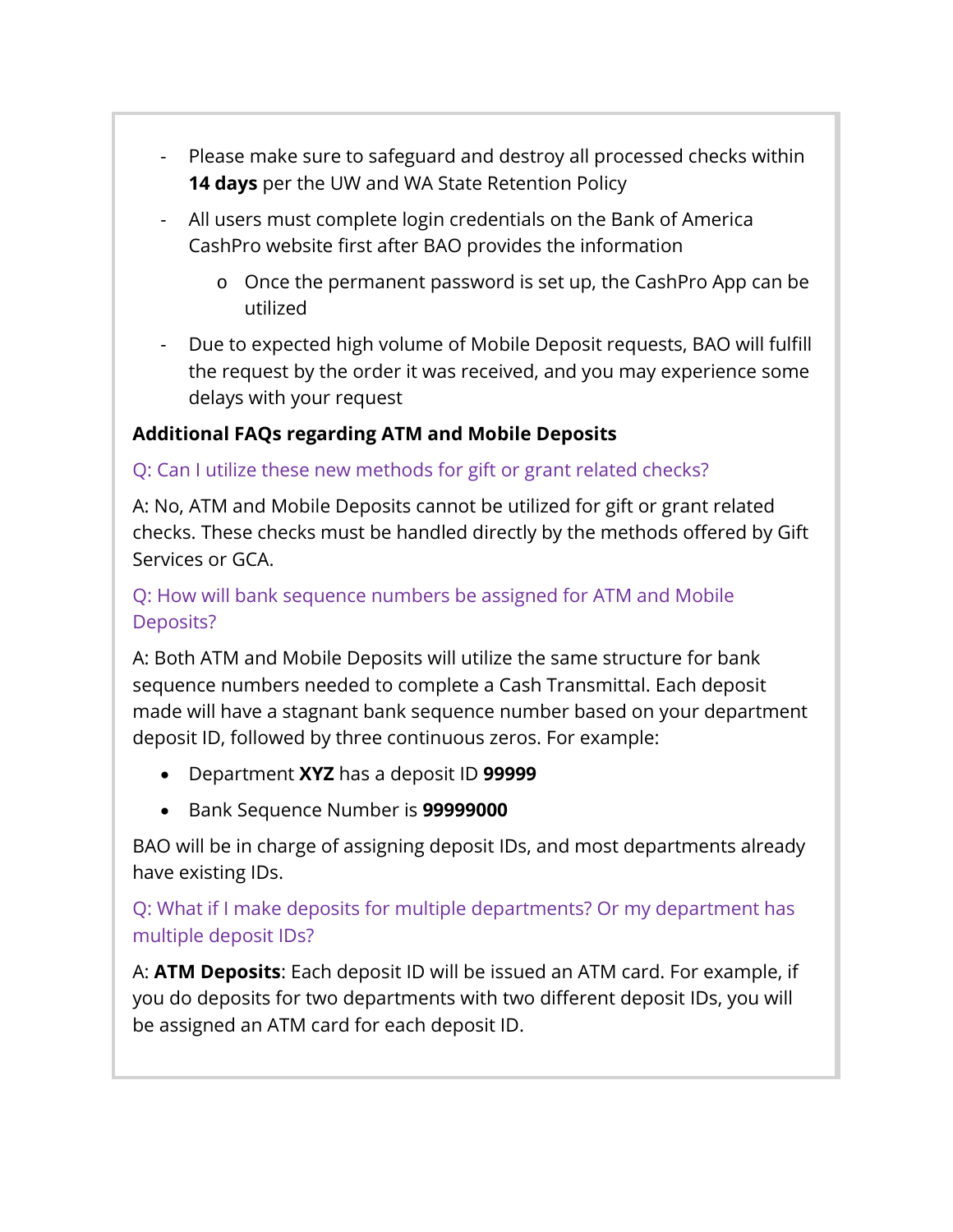- Please make sure to safeguard and destroy all processed checks within **14 days** per the UW and WA State Retention Policy
- All users must complete login credentials on the Bank of America CashPro website first after BAO provides the information
	- o Once the permanent password is set up, the CashPro App can be utilized
- Due to expected high volume of Mobile Deposit requests, BAO will fulfill the request by the order it was received, and you may experience some delays with your request

### **Additional FAQs regarding ATM and Mobile Deposits**

### Q: Can I utilize these new methods for gift or grant related checks?

A: No, ATM and Mobile Deposits cannot be utilized for gift or grant related checks. These checks must be handled directly by the methods offered by Gift Services or GCA.

### Q: How will bank sequence numbers be assigned for ATM and Mobile Deposits?

A: Both ATM and Mobile Deposits will utilize the same structure for bank sequence numbers needed to complete a Cash Transmittal. Each deposit made will have a stagnant bank sequence number based on your department deposit ID, followed by three continuous zeros. For example:

- Department **XYZ** has a deposit ID **99999**
- Bank Sequence Number is **99999000**

BAO will be in charge of assigning deposit IDs, and most departments already have existing IDs.

### Q: What if I make deposits for multiple departments? Or my department has multiple deposit IDs?

A: **ATM Deposits**: Each deposit ID will be issued an ATM card. For example, if you do deposits for two departments with two different deposit IDs, you will be assigned an ATM card for each deposit ID.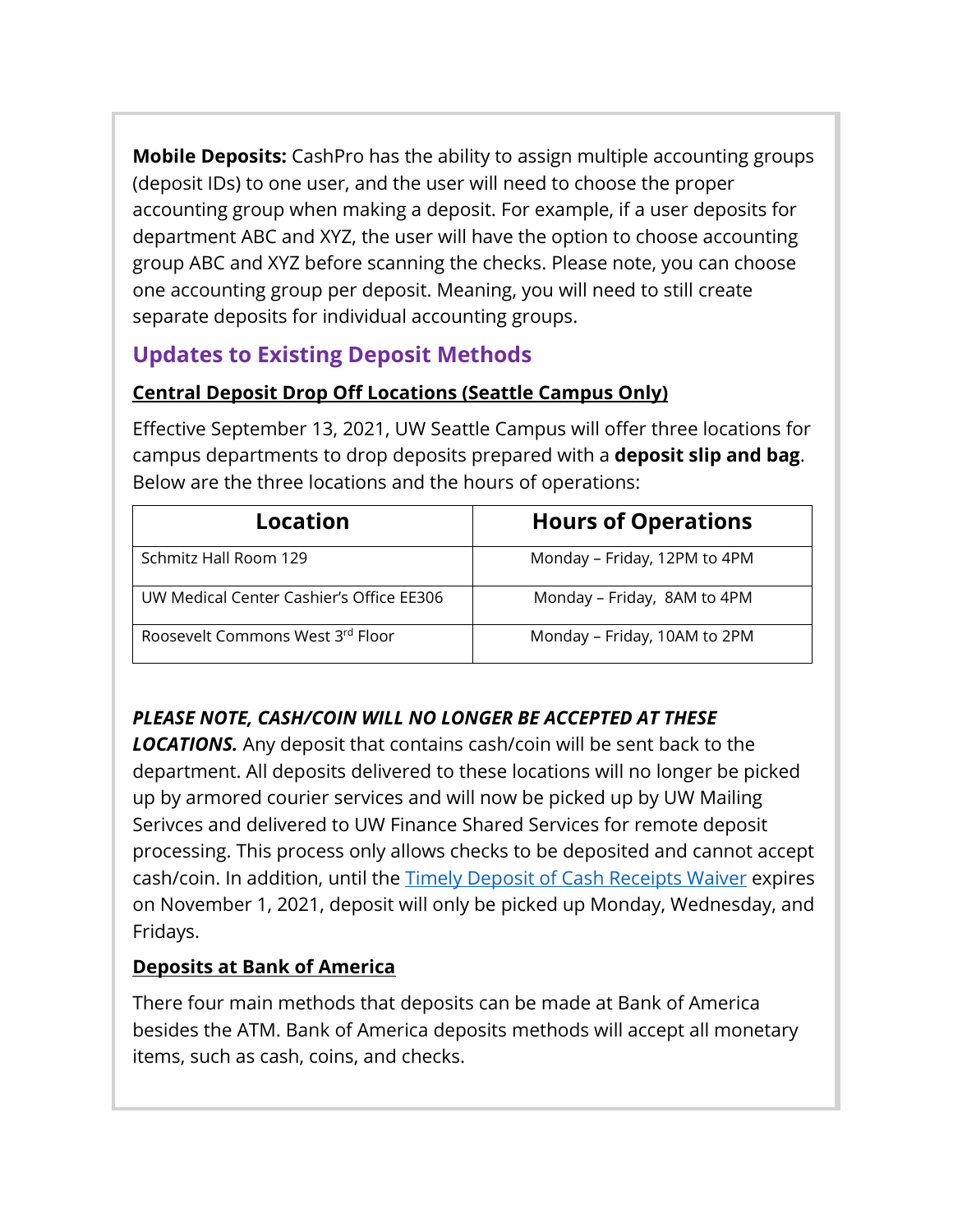**Mobile Deposits:** CashPro has the ability to assign multiple accounting groups (deposit IDs) to one user, and the user will need to choose the proper accounting group when making a deposit. For example, if a user deposits for department ABC and XYZ, the user will have the option to choose accounting group ABC and XYZ before scanning the checks. Please note, you can choose one accounting group per deposit. Meaning, you will need to still create separate deposits for individual accounting groups.

## **Updates to Existing Deposit Methods**

## **Central Deposit Drop Off Locations (Seattle Campus Only)**

Effective September 13, 2021, UW Seattle Campus will offer three locations for campus departments to drop deposits prepared with a **deposit slip and bag**. Below are the three locations and the hours of operations:

| Location                                 | <b>Hours of Operations</b>   |
|------------------------------------------|------------------------------|
| Schmitz Hall Room 129                    | Monday - Friday, 12PM to 4PM |
| UW Medical Center Cashier's Office EE306 | Monday - Friday, 8AM to 4PM  |
| Roosevelt Commons West 3rd Floor         | Monday – Friday, 10AM to 2PM |

## *PLEASE NOTE, CASH/COIN WILL NO LONGER BE ACCEPTED AT THESE*

*LOCATIONS.* Any deposit that contains cash/coin will be sent back to the department. All deposits delivered to these locations will no longer be picked up by armored courier services and will now be picked up by UW Mailing Serivces and delivered to UW Finance Shared Services for remote deposit processing. This process only allows checks to be deposited and cannot accept cash/coin. In addition, until the [Timely Deposit of Cash Receipts Waiver](https://ofm.wa.gov/sites/default/files/public/resources/covid-19/State_Timely_Deposit_Waiver_08.11.21.pdf) expires on November 1, 2021, deposit will only be picked up Monday, Wednesday, and Fridays.

## **Deposits at Bank of America**

There four main methods that deposits can be made at Bank of America besides the ATM. Bank of America deposits methods will accept all monetary items, such as cash, coins, and checks.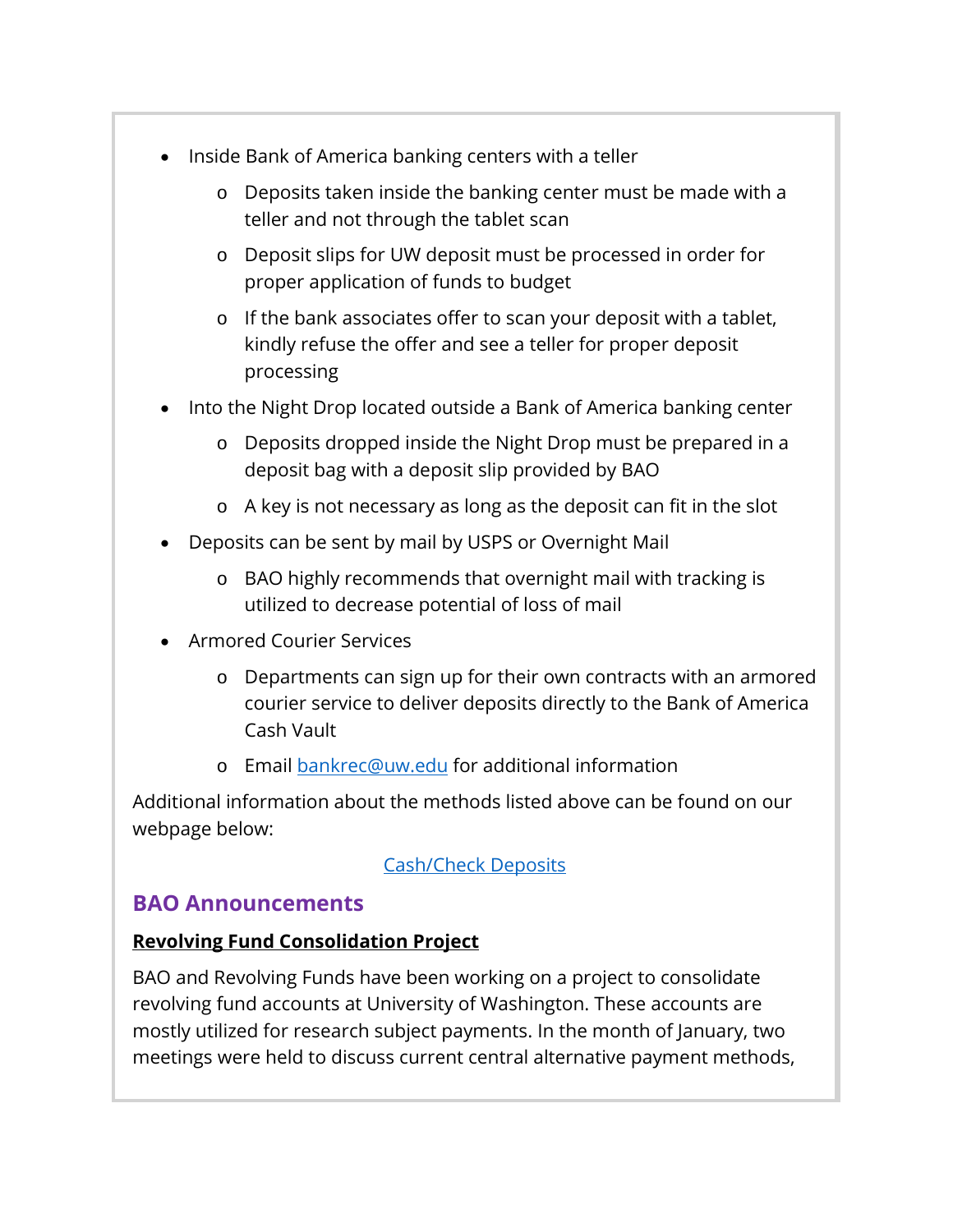- Inside Bank of America banking centers with a teller
	- o Deposits taken inside the banking center must be made with a teller and not through the tablet scan
	- o Deposit slips for UW deposit must be processed in order for proper application of funds to budget
	- o If the bank associates offer to scan your deposit with a tablet, kindly refuse the offer and see a teller for proper deposit processing
- Into the Night Drop located outside a Bank of America banking center
	- o Deposits dropped inside the Night Drop must be prepared in a deposit bag with a deposit slip provided by BAO
	- o A key is not necessary as long as the deposit can fit in the slot
- Deposits can be sent by mail by USPS or Overnight Mail
	- o BAO highly recommends that overnight mail with tracking is utilized to decrease potential of loss of mail
- Armored Courier Services
	- o Departments can sign up for their own contracts with an armored courier service to deliver deposits directly to the Bank of America Cash Vault
	- o Email [bankrec@uw.edu](mailto:bankrec@uw.edu) for additional information

Additional information about the methods listed above can be found on our webpage below:

### [Cash/Check Deposits](https://finance.uw.edu/bao/cash-receivables/checkcash-deposits)

### **BAO Announcements**

### **Revolving Fund Consolidation Project**

BAO and Revolving Funds have been working on a project to consolidate revolving fund accounts at University of Washington. These accounts are mostly utilized for research subject payments. In the month of January, two meetings were held to discuss current central alternative payment methods,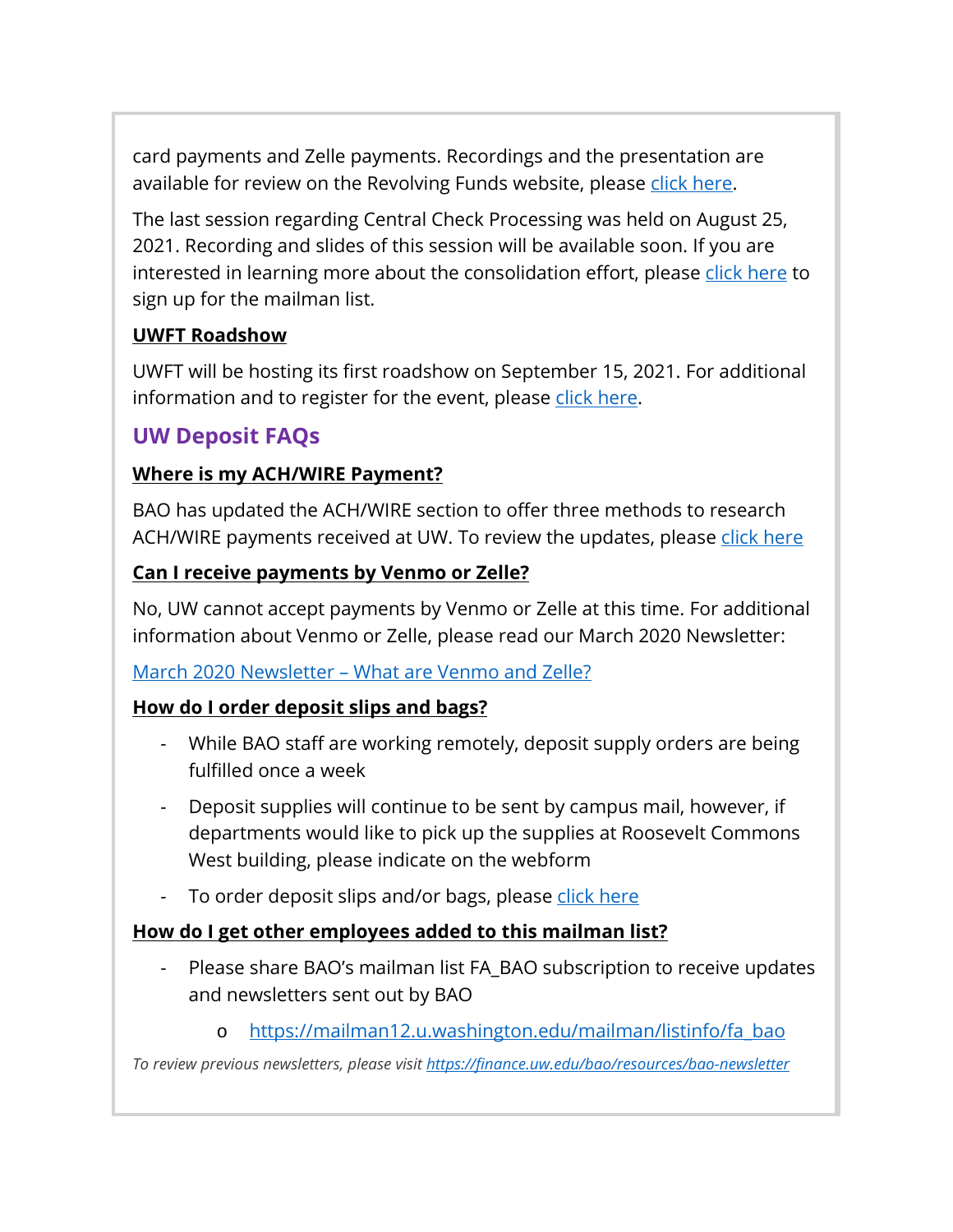card payments and Zelle payments. Recordings and the presentation are available for review on the Revolving Funds website, please [click here.](https://finance.uw.edu/ps/how-pay/revolving-funds/consolidation)

The last session regarding Central Check Processing was held on August 25, 2021. Recording and slides of this session will be available soon. If you are interested in learning more about the consolidation effort, please [click here](https://mailman11.u.washington.edu/mailman/listinfo/ogrevolving_funds_consolidation) to sign up for the mailman list.

### **UWFT Roadshow**

UWFT will be hosting its first roadshow on September 15, 2021. For additional information and to register for the event, please [click here.](https://finance.uw.edu/uwft/stay-informed/events?trumbaEmbed=eventid%3D155142476%26seotitle%3DUWFT-Roadshow%26view%3Devent%26-childview%3D)

## **UW Deposit FAQs**

### **Where is my ACH/WIRE Payment?**

BAO has updated the ACH/WIRE section to offer three methods to research ACH/WIRE payments received at UW. To review the updates, please [click here](https://finance.uw.edu/bao/wires)

### **Can I receive payments by Venmo or Zelle?**

No, UW cannot accept payments by Venmo or Zelle at this time. For additional information about Venmo or Zelle, please read our March 2020 Newsletter:

### March 2020 Newsletter – [What are Venmo and Zelle?](https://finance.uw.edu/bao/sites/default/files/Banking%20%26%20Accounting%20Operations%20Newsletter%20%2319.pdf)

### **How do I order deposit slips and bags?**

- While BAO staff are working remotely, deposit supply orders are being fulfilled once a week
- Deposit supplies will continue to be sent by campus mail, however, if departments would like to pick up the supplies at Roosevelt Commons West building, please indicate on the webform
- To order deposit slips and/or bags, please [click here](https://uw.service-now.com/sp?id=sc_cat_item&sys_id=2d1c21c31322db00c20bb9004244b0c9)

### **How do I get other employees added to this mailman list?**

- Please share BAO's mailman list FA\_BAO subscription to receive updates and newsletters sent out by BAO
	- o [https://mailman12.u.washington.edu/mailman/listinfo/fa\\_bao](https://mailman12.u.washington.edu/mailman/listinfo/fa_bao)

*To review previous newsletters, please visit<https://finance.uw.edu/bao/resources/bao-newsletter>*